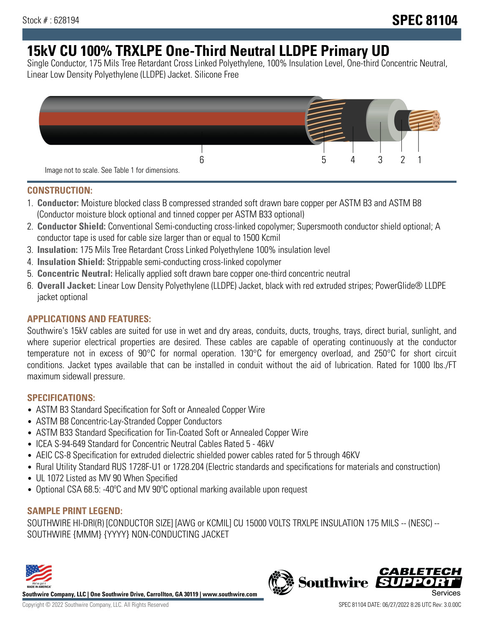# **15kV CU 100% TRXLPE One-Third Neutral LLDPE Primary UD**

Single Conductor, 175 Mils Tree Retardant Cross Linked Polyethylene, 100% Insulation Level, One-third Concentric Neutral, Linear Low Density Polyethylene (LLDPE) Jacket. Silicone Free



### **CONSTRUCTION:**

- 1. **Conductor:** Moisture blocked class B compressed stranded soft drawn bare copper per ASTM B3 and ASTM B8 (Conductor moisture block optional and tinned copper per ASTM B33 optional)
- 2. **Conductor Shield:** Conventional Semi-conducting cross-linked copolymer; Supersmooth conductor shield optional; A conductor tape is used for cable size larger than or equal to 1500 Kcmil
- 3. **Insulation:** 175 Mils Tree Retardant Cross Linked Polyethylene 100% insulation level
- 4. **Insulation Shield:** Strippable semi-conducting cross-linked copolymer
- 5. **Concentric Neutral:** Helically applied soft drawn bare copper one-third concentric neutral
- 6. **Overall Jacket:** Linear Low Density Polyethylene (LLDPE) Jacket, black with red extruded stripes; PowerGlide® LLDPE jacket optional

### **APPLICATIONS AND FEATURES:**

Southwire's 15kV cables are suited for use in wet and dry areas, conduits, ducts, troughs, trays, direct burial, sunlight, and where superior electrical properties are desired. These cables are capable of operating continuously at the conductor temperature not in excess of 90°C for normal operation. 130°C for emergency overload, and 250°C for short circuit conditions. Jacket types available that can be installed in conduit without the aid of lubrication. Rated for 1000 lbs./FT maximum sidewall pressure.

### **SPECIFICATIONS:**

- ASTM B3 Standard Specification for Soft or Annealed Copper Wire
- ASTM B8 Concentric-Lay-Stranded Copper Conductors
- ASTM B33 Standard Specification for Tin-Coated Soft or Annealed Copper Wire
- ICEA S-94-649 Standard for Concentric Neutral Cables Rated 5 46kV
- AEIC CS-8 Specification for extruded dielectric shielded power cables rated for 5 through 46KV
- Rural Utility Standard RUS 1728F-U1 or 1728.204 (Electric standards and specifications for materials and construction)
- UL 1072 Listed as MV 90 When Specified
- Optional CSA 68.5: -40ºC and MV 90ºC optional marking available upon request

### **SAMPLE PRINT LEGEND:**

SOUTHWIRE HI-DRI(R) [CONDUCTOR SIZE] [AWG or KCMIL] CU 15000 VOLTS TRXLPE INSULATION 175 MILS -- (NESC) -- SOUTHWIRE {MMM} {YYYY} NON-CONDUCTING JACKET



**Southwire Company, LLC | One Southwire Drive, Carrollton, GA 30119 | www.southwire.com**

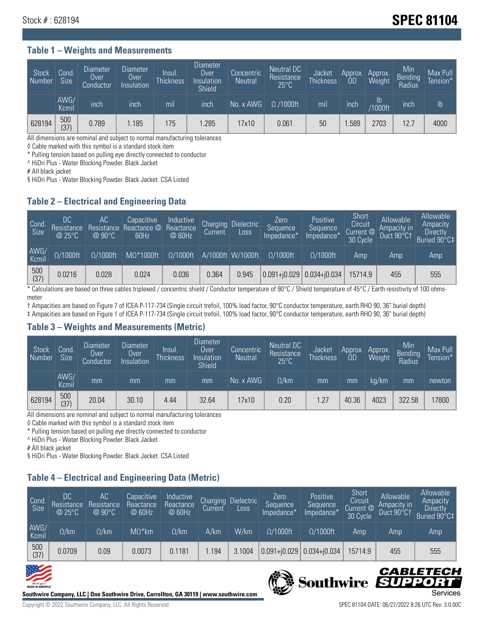## **Stock # : 628194** Stock **# : 628194**

#### **Table 1 – Weights and Measurements**

| Stock<br>  Number | Cond<br><b>Size</b> | <b>Diameter</b><br>Over<br>Conductor | Diameter<br>Over<br>Insulation | Insul.<br><b>Thickness</b> | <b>Diameter</b><br>Over<br>Insulation<br><b>Shield</b> | Concentric<br><b>Neutral</b> | Neutral DC<br>Resistance<br>$25^{\circ}$ C | Jacket<br><b>Thickness</b> | Approx.<br>OD | Approx.<br>Weight    | Min<br><b>Bending</b><br>Radius | Max Pull<br>Tension* |
|-------------------|---------------------|--------------------------------------|--------------------------------|----------------------------|--------------------------------------------------------|------------------------------|--------------------------------------------|----------------------------|---------------|----------------------|---------------------------------|----------------------|
|                   | AWG/<br>Kcmil       | inch                                 | inch                           | mil                        | ınch                                                   | No. x AWG                    | $\Omega$ /1000ft                           | mil                        | inch          | Ib<br><b>Y1000ft</b> | inch                            | $\mathsf{lb}$        |
| 628194            | 500<br>(37)         | 0.789                                | 1.185                          | 175                        | .285                                                   | 17x10                        | 0.061                                      | 50                         | .589          | 2703                 | 12.7                            | 4000                 |

All dimensions are nominal and subject to normal manufacturing tolerances

◊ Cable marked with this symbol is a standard stock item

\* Pulling tension based on pulling eye directly connected to conductor

^ HiDri Plus - Water Blocking Powder. Black Jacket

# All black jacket

§ HiDri Plus - Water Blocking Powder. Black Jacket. CSA Listed

### **Table 2 – Electrical and Engineering Data**

| Cond.<br>Size | DC<br>Resistance<br>@25°C | АC<br>Resistance<br>$@90^{\circ}C$ | Capacitive<br>Reactance @<br>60Hz | Inductive<br>Reactance<br>@ 60Hz | Charging<br>Current | Dielectric<br>Loss | Zero<br>Sequence<br>Impedance*' | Positive<br>Sequence<br>Impedance <sup>*</sup> | Short<br>Circuit<br>Current $@$<br>30 Cycle | Allowable<br>Ampacity in<br>Duct 90°C1 | Allowable<br>Ampacity<br><b>Directly</b><br>Buried 90°C‡ |
|---------------|---------------------------|------------------------------------|-----------------------------------|----------------------------------|---------------------|--------------------|---------------------------------|------------------------------------------------|---------------------------------------------|----------------------------------------|----------------------------------------------------------|
| AWG/<br>Kcmil | $\Omega/1000$ ft          | $\Omega/1000$ ft                   | $M\Omega^*1000$ ft                | $\Omega/1000$ ft                 |                     | A/1000ft W/1000ft  | $O/1000$ ft                     | $\Omega$ /1000ft                               | Amp                                         | Amp                                    | Amp                                                      |
| 500<br>(37)   | 0.0216                    | 0.028                              | 0.024                             | 0.036                            | 0.364               | 0.945              |                                 | $0.091 + 0.029$ 0.034+ $0.034$                 | 15714.9                                     | 455                                    | 555                                                      |

\* Calculations are based on three cables triplexed / concentric shield / Conductor temperature of 90°C / Shield temperature of 45°C / Earth resistivity of 100 ohmsmeter

† Ampacities are based on Figure 7 of ICEA P-117-734 (Single circuit trefoil, 100% load factor, 90°C conductor temperature, earth RHO 90, 36" burial depth) ‡ Ampacities are based on Figure 1 of ICEA P-117-734 (Single circuit trefoil, 100% load factor, 90°C conductor temperature, earth RHO 90, 36" burial depth)

### **Table 3 – Weights and Measurements (Metric)**

| Stock<br>Number | Cond.<br>Size | Diameter<br>Over<br>Conductor | Diameter,<br><b>Over</b><br>Insulation | Insul.<br><b>Thickness</b> | <b>Diameter</b><br>Over<br>Insulation<br><b>Shield</b> | Concentric<br><b>Neutral</b> | Neutral DC<br>Resistance<br>$25^{\circ}$ C | Jacket<br><b>Thickness</b> | Approx.<br>0D | Approx.<br>Weight | Min<br>Bending<br>Radius | Max Pull<br>Tension* |
|-----------------|---------------|-------------------------------|----------------------------------------|----------------------------|--------------------------------------------------------|------------------------------|--------------------------------------------|----------------------------|---------------|-------------------|--------------------------|----------------------|
|                 | AWG/<br>Kcmil | mm                            | mm                                     | mm                         | mm                                                     | No. x AWG                    | $\Omega$ /km                               | mm                         | mm            | ka/km             | mm                       | newton               |
| 628194          | 500<br>(37)   | 20.04                         | 30.10                                  | 4.44                       | 32.64                                                  | 17x10                        | 0.20                                       | 1.27                       | 40.36         | 4023              | 322.58                   | 17800                |

All dimensions are nominal and subject to normal manufacturing tolerances

◊ Cable marked with this symbol is a standard stock item

\* Pulling tension based on pulling eye directly connected to conductor

^ HiDri Plus - Water Blocking Powder. Black Jacket

# All black jacket

§ HiDri Plus - Water Blocking Powder. Black Jacket. CSA Listed

### **Table 4 – Electrical and Engineering Data (Metric)**

| Cond<br>Size       | DC<br>Resistance<br>@25°C | АC<br>Resistance<br>$Q90^\circ C$ | Capacitive<br>Reactance<br>@ 60Hz | Inductive<br>Reactance<br>@ 60Hz | Charging<br>Current, | <b>Dielectric</b><br>$L$ <sub>OSS</sub> | Zero<br>Sequence<br>Impedance* | Positive<br>Sequence<br>Impedance* | Short<br>Circuit<br>Current @<br>30 Cycle | Allowable<br>Ampacity in<br>Duct 90°C1 | Allowable<br>Ampacity<br><b>Directly</b><br>Buried 90°C‡ |
|--------------------|---------------------------|-----------------------------------|-----------------------------------|----------------------------------|----------------------|-----------------------------------------|--------------------------------|------------------------------------|-------------------------------------------|----------------------------------------|----------------------------------------------------------|
| AWG/<br>Kcmil      | $\Omega$ /km              | $\Omega$ /km                      | $M\Omega^*$ km                    | $\Omega$ /km                     | A/km                 | W/km                                    | $\Omega$ /1000ft               | $\Omega/1000$ ft                   | Amp                                       | Amp                                    | Amp                                                      |
| $\frac{500}{(37)}$ | 0.0709                    | 0.09                              | 0.0073                            | 0.1181                           | .194                 | 3.1004                                  | $0.091 + 0.029$                | $ 0.034 + i0.034 $                 | 15714.9                                   | 455                                    | 555                                                      |





CABLETECI

Ð

Southwire SUP